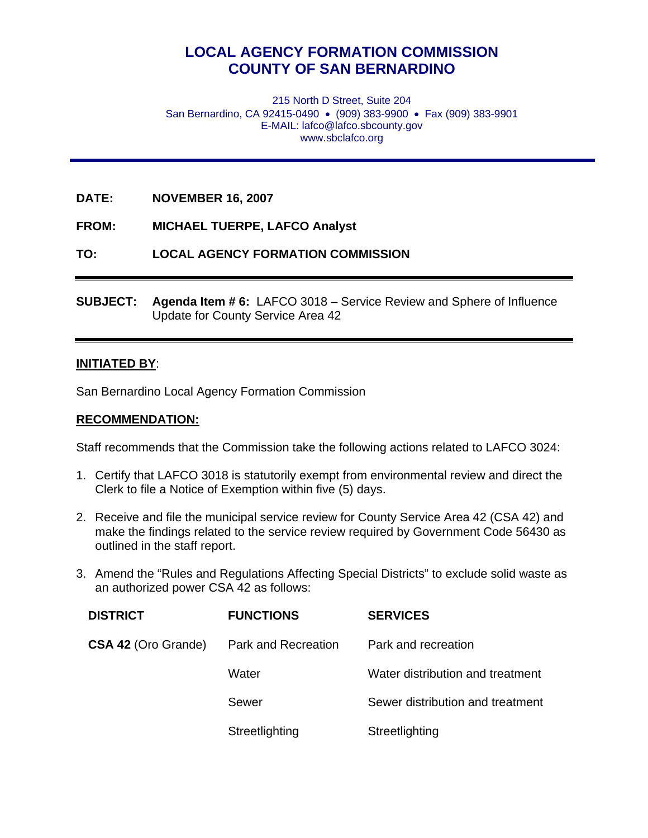# **LOCAL AGENCY FORMATION COMMISSION COUNTY OF SAN BERNARDINO**

215 North D Street, Suite 204 San Bernardino, CA 92415-0490 • (909) 383-9900 • Fax (909) 383-9901 E-MAIL: lafco@lafco.sbcounty.gov www.sbclafco.org

**DATE: NOVEMBER 16, 2007** 

**FROM: MICHAEL TUERPE, LAFCO Analyst** 

**TO: LOCAL AGENCY FORMATION COMMISSION** 

**SUBJECT: Agenda Item # 6:** LAFCO 3018 – Service Review and Sphere of Influence Update for County Service Area 42

### **INITIATED BY**:

San Bernardino Local Agency Formation Commission

#### **RECOMMENDATION:**

Staff recommends that the Commission take the following actions related to LAFCO 3024:

- 1. Certify that LAFCO 3018 is statutorily exempt from environmental review and direct the Clerk to file a Notice of Exemption within five (5) days.
- 2. Receive and file the municipal service review for County Service Area 42 (CSA 42) and make the findings related to the service review required by Government Code 56430 as outlined in the staff report.
- 3. Amend the "Rules and Regulations Affecting Special Districts" to exclude solid waste as an authorized power CSA 42 as follows:

| <b>DISTRICT</b>            | <b>FUNCTIONS</b>    | <b>SERVICES</b>                  |
|----------------------------|---------------------|----------------------------------|
| <b>CSA 42 (Oro Grande)</b> | Park and Recreation | Park and recreation              |
|                            | Water               | Water distribution and treatment |
|                            | Sewer               | Sewer distribution and treatment |
|                            | Streetlighting      | Streetlighting                   |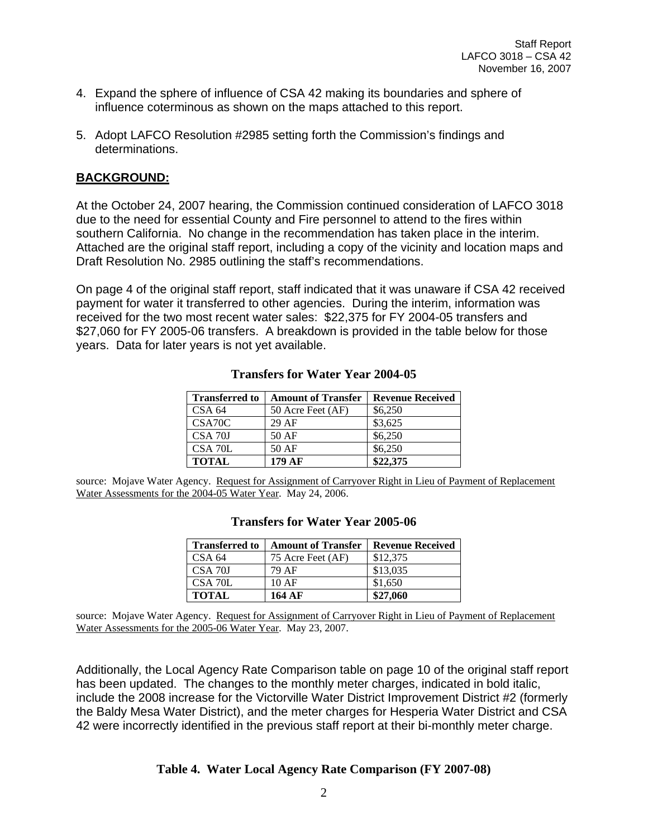- 4. Expand the sphere of influence of CSA 42 making its boundaries and sphere of influence coterminous as shown on the maps attached to this report.
- 5. Adopt LAFCO Resolution #2985 setting forth the Commission's findings and determinations.

## **BACKGROUND:**

At the October 24, 2007 hearing, the Commission continued consideration of LAFCO 3018 due to the need for essential County and Fire personnel to attend to the fires within southern California. No change in the recommendation has taken place in the interim. Attached are the original staff report, including a copy of the vicinity and location maps and Draft Resolution No. 2985 outlining the staff's recommendations.

On page 4 of the original staff report, staff indicated that it was unaware if CSA 42 received payment for water it transferred to other agencies. During the interim, information was received for the two most recent water sales: \$22,375 for FY 2004-05 transfers and \$27,060 for FY 2005-06 transfers. A breakdown is provided in the table below for those years. Data for later years is not yet available.

| <b>Transferred to</b> | <b>Amount of Transfer</b> | <b>Revenue Received</b> |
|-----------------------|---------------------------|-------------------------|
| CSA 64                | 50 Acre Feet (AF)         | \$6,250                 |
| CSA <sub>70</sub> C   | 29 AF                     | \$3,625                 |
| CSA 70J               | 50AF                      | \$6,250                 |
| CSA 70L               | 50AF                      | \$6,250                 |
| <b>TOTAL</b>          | 179 AF                    | \$22,375                |

#### **Transfers for Water Year 2004-05**

source: Mojave Water Agency. Request for Assignment of Carryover Right in Lieu of Payment of Replacement Water Assessments for the 2004-05 Water Year. May 24, 2006.

| <b>Transferred to</b> | <b>Amount of Transfer</b> | <b>Revenue Received</b> |
|-----------------------|---------------------------|-------------------------|
| CSA 64                | 75 Acre Feet (AF)         | \$12,375                |
| CSA 70J               | 79 AF                     | \$13,035                |
| CSA 70L               | $10 \text{ AF}$           | \$1,650                 |
| <b>TOTAL</b>          | 164 AF                    | \$27,060                |

#### **Transfers for Water Year 2005-06**

source: Mojave Water Agency. Request for Assignment of Carryover Right in Lieu of Payment of Replacement Water Assessments for the 2005-06 Water Year. May 23, 2007.

Additionally, the Local Agency Rate Comparison table on page 10 of the original staff report has been updated. The changes to the monthly meter charges, indicated in bold italic, include the 2008 increase for the Victorville Water District Improvement District #2 (formerly the Baldy Mesa Water District), and the meter charges for Hesperia Water District and CSA 42 were incorrectly identified in the previous staff report at their bi-monthly meter charge.

### **Table 4. Water Local Agency Rate Comparison (FY 2007-08)**